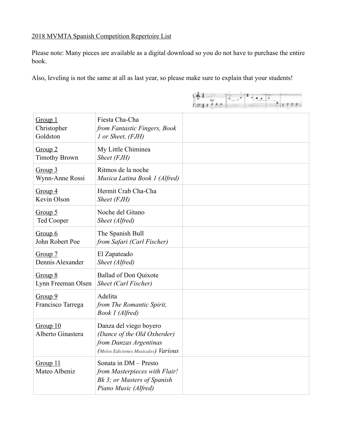## 2018 MVMTA Spanish Competition Repertoire List

Please note: Many pieces are available as a digital download so you do not have to purchase the entire book.

Also, leveling is not the same at all as last year, so please make sure to explain that your students!

 $\left| \frac{64}{2417711} \right| = \left| \frac{1}{2} \right|$ 

| Group 1<br>Christopher<br>Goldston | Fiesta Cha-Cha<br>from Fantastic Fingers, Book<br>1 or Sheet, (FJH)                                                    |  |
|------------------------------------|------------------------------------------------------------------------------------------------------------------------|--|
| Group 2<br><b>Timothy Brown</b>    | My Little Chiminea<br>Sheet (FJH)                                                                                      |  |
| Group 3<br>Wynn-Anne Rossi         | Ritmos de la noche<br>Musica Latina Book 1 (Alfred)                                                                    |  |
| Group 4<br>Kevin Olson             | Hermit Crab Cha-Cha<br>Sheet (FJH)                                                                                     |  |
| Group $5$<br><b>Ted Cooper</b>     | Noche del Gitano<br>Sheet (Alfred)                                                                                     |  |
| Group 6<br>John Robert Poe         | The Spanish Bull<br>from Safari (Carl Fischer)                                                                         |  |
| Group 7<br>Dennis Alexander        | El Zapateado<br>Sheet (Alfred)                                                                                         |  |
| Group 8<br>Lynn Freeman Olsen      | <b>Ballad of Don Quixote</b><br>Sheet (Carl Fischer)                                                                   |  |
| Group 9<br>Francisco Tarrega       | Adelita<br>from The Romantic Spirit,<br>Book 1 (Alfred)                                                                |  |
| Group 10<br>Alberto Ginastera      | Danza del viego boyero<br>(Dance of the Old Oxherder)<br>from Danzas Argentinas<br>(Melos Ediciones Musicales) Various |  |
| Group 11<br>Mateo Albeniz          | Sonata in DM - Presto<br>from Masterpieces with Flair!<br>Bk 3; or Masters of Spanish<br>Piano Music (Alfred)          |  |